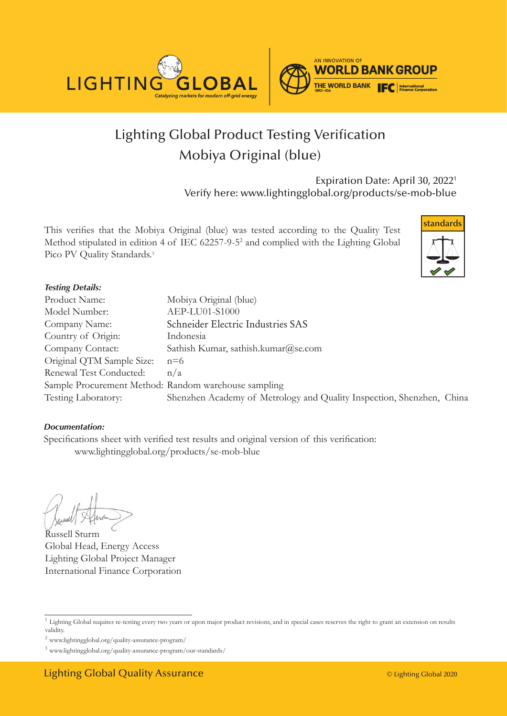



# Lighting Global Product Testing Verification Mobiya Original (blue)

Expiration Date: April 30, 20221 Verify here: www.lightingglobal.org/products/se-mob-blue

This verifies that the Mobiya Original (blue) was tested according to the Quality Test Method stipulated in edition 4 of IEC 62257-9-52 and complied with the Lighting Global Pico PV Quality Standards.<sup>3</sup>



#### *Testing Details:*

| Product Name:                                        | Mobiya Original (blue)                                                |
|------------------------------------------------------|-----------------------------------------------------------------------|
| Model Number:                                        | AEP-LU01-S1000                                                        |
| Company Name:                                        | Schneider Electric Industries SAS                                     |
| Country of Origin:                                   | Indonesia                                                             |
| Company Contact:                                     | Sathish Kumar, sathish.kumar@se.com                                   |
| Original QTM Sample Size:                            | $n=6$                                                                 |
| Renewal Test Conducted:                              | n/a                                                                   |
| Sample Procurement Method: Random warehouse sampling |                                                                       |
| Testing Laboratory:                                  | Shenzhen Academy of Metrology and Quality Inspection, Shenzhen, China |

#### *Documentation:*

Specifications sheet with verified test results and original version of this verification: www.lightingglobal.org/products/se-mob-blue

Russell Sturm Global Head, Energy Access Lighting Global Project Manager International Finance Corporation

<sup>&</sup>lt;sup>1</sup> Lighting Global requires re-testing every two years or upon major product revisions, and in special cases reserves the right to grant an extension on results validity.

 $^2$ www.lightingglobal.org/quality-assurance-program/  $\,$ 

<sup>3</sup> www.lightingglobal.org/quality-assurance-program/our-standards/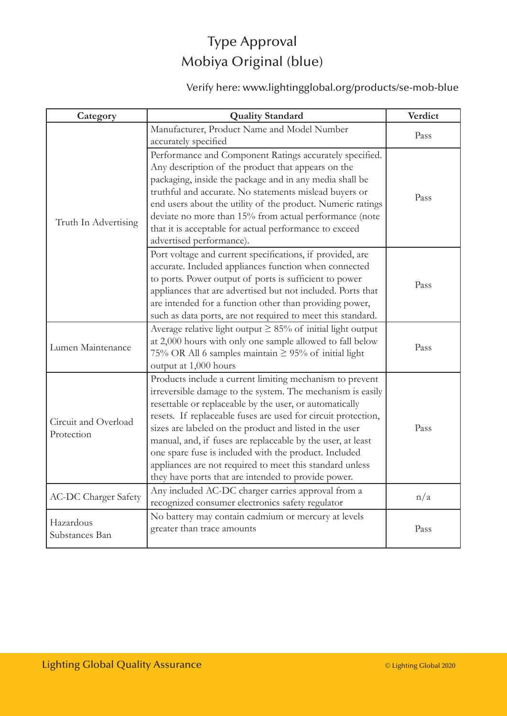## Type Approval Mobiya Original (blue)

### Verify here: www.lightingglobal.org/products/se-mob-blue

| Category                           | <b>Quality Standard</b>                                          | Verdict |
|------------------------------------|------------------------------------------------------------------|---------|
|                                    | Manufacturer, Product Name and Model Number                      | Pass    |
|                                    | accurately specified                                             |         |
|                                    | Performance and Component Ratings accurately specified.          |         |
|                                    | Any description of the product that appears on the               |         |
|                                    | packaging, inside the package and in any media shall be          |         |
|                                    | truthful and accurate. No statements mislead buyers or           | Pass    |
|                                    | end users about the utility of the product. Numeric ratings      |         |
| Truth In Advertising               | deviate no more than 15% from actual performance (note           |         |
|                                    | that it is acceptable for actual performance to exceed           |         |
|                                    | advertised performance).                                         |         |
|                                    | Port voltage and current specifications, if provided, are        |         |
|                                    | accurate. Included appliances function when connected            |         |
|                                    | to ports. Power output of ports is sufficient to power           | Pass    |
|                                    | appliances that are advertised but not included. Ports that      |         |
|                                    | are intended for a function other than providing power,          |         |
|                                    | such as data ports, are not required to meet this standard.      |         |
|                                    | Average relative light output $\geq$ 85% of initial light output |         |
|                                    | at 2,000 hours with only one sample allowed to fall below        | Pass    |
| Lumen Maintenance                  | 75% OR All 6 samples maintain $\geq$ 95% of initial light        |         |
|                                    | output at 1,000 hours                                            |         |
|                                    | Products include a current limiting mechanism to prevent         |         |
|                                    | irreversible damage to the system. The mechanism is easily       |         |
|                                    | resettable or replaceable by the user, or automatically          |         |
| Circuit and Overload<br>Protection | resets. If replaceable fuses are used for circuit protection,    |         |
|                                    | sizes are labeled on the product and listed in the user          | Pass    |
|                                    | manual, and, if fuses are replaceable by the user, at least      |         |
|                                    | one spare fuse is included with the product. Included            |         |
|                                    | appliances are not required to meet this standard unless         |         |
|                                    | they have ports that are intended to provide power.              |         |
| <b>AC-DC Charger Safety</b>        | Any included AC-DC charger carries approval from a               | n/a     |
|                                    | recognized consumer electronics safety regulator                 |         |
| Hazardous<br>Substances Ban        | No battery may contain cadmium or mercury at levels              |         |
|                                    | greater than trace amounts                                       | Pass    |
|                                    |                                                                  |         |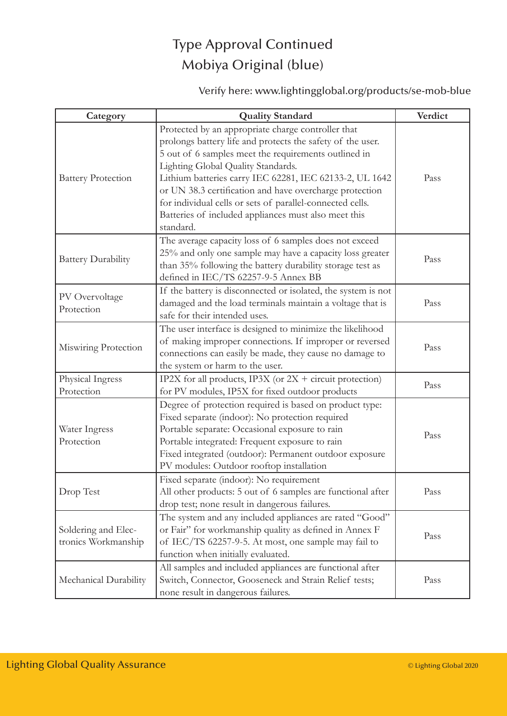## Type Approval Continued Mobiya Original (blue)

### Verify here: www.lightingglobal.org/products/se-mob-blue

| Category                                   | <b>Quality Standard</b>                                                                                                                                                                                                                                                                                                                                                                                                                                                | Verdict |
|--------------------------------------------|------------------------------------------------------------------------------------------------------------------------------------------------------------------------------------------------------------------------------------------------------------------------------------------------------------------------------------------------------------------------------------------------------------------------------------------------------------------------|---------|
| <b>Battery Protection</b>                  | Protected by an appropriate charge controller that<br>prolongs battery life and protects the safety of the user.<br>5 out of 6 samples meet the requirements outlined in<br>Lighting Global Quality Standards.<br>Lithium batteries carry IEC 62281, IEC 62133-2, UL 1642<br>or UN 38.3 certification and have overcharge protection<br>for individual cells or sets of parallel-connected cells.<br>Batteries of included appliances must also meet this<br>standard. | Pass    |
| <b>Battery Durability</b>                  | The average capacity loss of 6 samples does not exceed<br>25% and only one sample may have a capacity loss greater<br>than 35% following the battery durability storage test as<br>defined in IEC/TS 62257-9-5 Annex BB                                                                                                                                                                                                                                                | Pass    |
| PV Overvoltage<br>Protection               | If the battery is disconnected or isolated, the system is not<br>damaged and the load terminals maintain a voltage that is<br>safe for their intended uses.                                                                                                                                                                                                                                                                                                            | Pass    |
| Miswiring Protection                       | The user interface is designed to minimize the likelihood<br>of making improper connections. If improper or reversed<br>connections can easily be made, they cause no damage to<br>the system or harm to the user.                                                                                                                                                                                                                                                     | Pass    |
| Physical Ingress<br>Protection             | IP2X for all products, IP3X (or $2X +$ circuit protection)<br>for PV modules, IP5X for fixed outdoor products                                                                                                                                                                                                                                                                                                                                                          | Pass    |
| Water Ingress<br>Protection                | Degree of protection required is based on product type:<br>Fixed separate (indoor): No protection required<br>Portable separate: Occasional exposure to rain<br>Portable integrated: Frequent exposure to rain<br>Fixed integrated (outdoor): Permanent outdoor exposure<br>PV modules: Outdoor rooftop installation                                                                                                                                                   | Pass    |
| Drop Test                                  | Fixed separate (indoor): No requirement<br>All other products: 5 out of 6 samples are functional after<br>drop test; none result in dangerous failures.                                                                                                                                                                                                                                                                                                                | Pass    |
| Soldering and Elec-<br>tronics Workmanship | The system and any included appliances are rated "Good"<br>or Fair" for workmanship quality as defined in Annex F<br>of IEC/TS 62257-9-5. At most, one sample may fail to<br>function when initially evaluated.                                                                                                                                                                                                                                                        | Pass    |
| Mechanical Durability                      | All samples and included appliances are functional after<br>Switch, Connector, Gooseneck and Strain Relief tests;<br>none result in dangerous failures.                                                                                                                                                                                                                                                                                                                | Pass    |